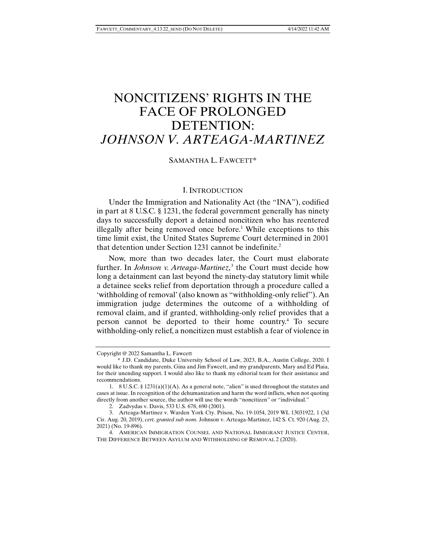# NONCITIZENS' RIGHTS IN THE FACE OF PROLONGED DETENTION: *JOHNSON V. ARTEAGA-MARTINEZ*

SAMANTHA L. FAWCETT\*

#### I. INTRODUCTION

Under the Immigration and Nationality Act (the "INA"), codified in part at 8 U.S.C. § 1231, the federal government generally has ninety days to successfully deport a detained noncitizen who has reentered illegally after being removed once before.<sup>1</sup> While exceptions to this time limit exist, the United States Supreme Court determined in 2001 that detention under Section 1231 cannot be indefinite.<sup>2</sup>

Now, more than two decades later, the Court must elaborate further. In *Johnson v. Arteaga-Martinez*,<sup>3</sup> the Court must decide how long a detainment can last beyond the ninety-day statutory limit while a detainee seeks relief from deportation through a procedure called a 'withholding of removal' (also known as "withholding-only relief"). An immigration judge determines the outcome of a withholding of removal claim, and if granted, withholding-only relief provides that a person cannot be deported to their home country.4 To secure withholding-only relief, a noncitizen must establish a fear of violence in

Copyright @ 2022 Samantha L. Fawcett

 <sup>\*</sup> J.D. Candidate, Duke University School of Law, 2023, B.A., Austin College, 2020. I would like to thank my parents, Gina and Jim Fawcett, and my grandparents, Mary and Ed Plaia, for their unending support. I would also like to thank my editorial team for their assistance and recommendations.

 <sup>1. 8</sup> U.S.C. § 1231(a)(1)(A). As a general note, "alien" is used throughout the statutes and cases at issue. In recognition of the dehumanization and harm the word inflicts, when not quoting directly from another source, the author will use the words "noncitizen" or "individual."

 <sup>2.</sup> Zadvydas v. Davis, 533 U.S. 678, 690 (2001).

 <sup>3.</sup> Arteaga-Martinez v. Warden York Cty. Prison, No. 19-1054, 2019 WL 13031922, 1 (3d Cir. Aug. 20, 2019), *cert. granted sub nom.* Johnson v. Arteaga-Martinez, 142 S. Ct. 920 (Aug. 23, 2021) (No. 19-896).

 <sup>4.</sup> AMERICAN IMMIGRATION COUNSEL AND NATIONAL IMMIGRANT JUSTICE CENTER, THE DIFFERENCE BETWEEN ASYLUM AND WITHHOLDING OF REMOVAL 2 (2020).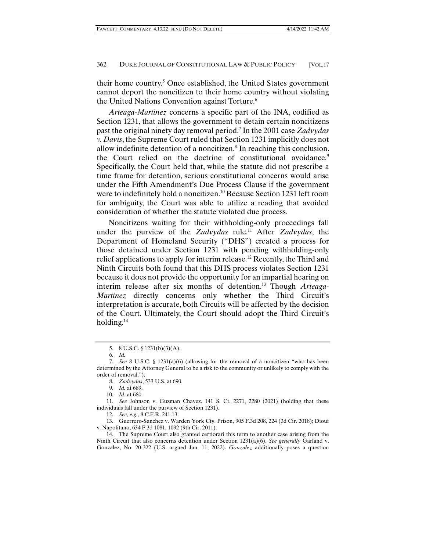their home country.<sup>5</sup> Once established, the United States government cannot deport the noncitizen to their home country without violating the United Nations Convention against Torture.<sup>6</sup>

*Arteaga-Martinez* concerns a specific part of the INA, codified as Section 1231, that allows the government to detain certain noncitizens past the original ninety day removal period.7 In the 2001 case *Zadvydas v. Davis*, the Supreme Court ruled that Section 1231 implicitly does not allow indefinite detention of a noncitizen.<sup>8</sup> In reaching this conclusion, the Court relied on the doctrine of constitutional avoidance.<sup>9</sup> Specifically, the Court held that, while the statute did not prescribe a time frame for detention, serious constitutional concerns would arise under the Fifth Amendment's Due Process Clause if the government were to indefinitely hold a noncitizen.10 Because Section 1231 left room for ambiguity, the Court was able to utilize a reading that avoided consideration of whether the statute violated due process.

Noncitizens waiting for their withholding-only proceedings fall under the purview of the *Zadvydas* rule.11 After *Zadvydas*, the Department of Homeland Security ("DHS") created a process for those detained under Section 1231 with pending withholding-only relief applications to apply for interim release.12 Recently, the Third and Ninth Circuits both found that this DHS process violates Section 1231 because it does not provide the opportunity for an impartial hearing on interim release after six months of detention.13 Though *Arteaga-Martinez* directly concerns only whether the Third Circuit's interpretation is accurate, both Circuits will be affected by the decision of the Court. Ultimately, the Court should adopt the Third Circuit's holding.<sup>14</sup>

 <sup>5. 8</sup> U.S.C. § 1231(b)(3)(A).

 <sup>6.</sup> *Id.*

 <sup>7.</sup> *See* 8 U.S.C. § 1231(a)(6) (allowing for the removal of a noncitizen "who has been determined by the Attorney General to be a risk to the community or unlikely to comply with the order of removal.").

 <sup>8.</sup> *Zadvydas*, 533 U.S. at 690.

 <sup>9.</sup> *Id.* at 689.

 <sup>10.</sup> *Id.* at 680.

 <sup>11.</sup> *See* Johnson v. Guzman Chavez, 141 S. Ct. 2271, 2280 (2021) (holding that these individuals fall under the purview of Section 1231).

 <sup>12.</sup> *See, e.g.*, 8 C.F.R. 241.13.

 <sup>13.</sup> Guerrero-Sanchez v. Warden York Cty. Prison, 905 F.3d 208, 224 (3d Cir. 2018); Diouf v. Napolitano, 634 F.3d 1081, 1092 (9th Cir. 2011).

 <sup>14.</sup> The Supreme Court also granted certiorari this term to another case arising from the Ninth Circuit that also concerns detention under Section 1231(a)(6). *See generally* Garland v. Gonzalez, No. 20-322 (U.S. argued Jan. 11, 2022). *Gonzalez* additionally poses a question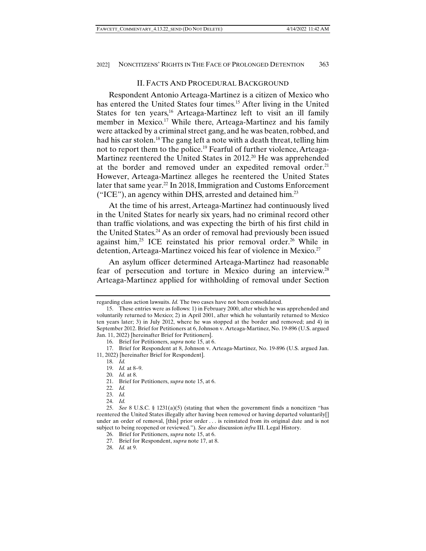#### II. FACTS AND PROCEDURAL BACKGROUND

Respondent Antonio Arteaga-Martinez is a citizen of Mexico who has entered the United States four times.<sup>15</sup> After living in the United States for ten years,<sup>16</sup> Arteaga-Martinez left to visit an ill family member in Mexico.<sup>17</sup> While there, Arteaga-Martinez and his family were attacked by a criminal street gang, and he was beaten, robbed, and had his car stolen.<sup>18</sup> The gang left a note with a death threat, telling him not to report them to the police.<sup>19</sup> Fearful of further violence, Arteaga-Martinez reentered the United States in 2012.20 He was apprehended at the border and removed under an expedited removal order.<sup>21</sup> However, Arteaga-Martinez alleges he reentered the United States later that same year.<sup>22</sup> In 2018, Immigration and Customs Enforcement  $("ICE")$ , an agency within DHS, arrested and detained him.<sup>23</sup>

At the time of his arrest, Arteaga-Martinez had continuously lived in the United States for nearly six years, had no criminal record other than traffic violations, and was expecting the birth of his first child in the United States.<sup>24</sup> As an order of removal had previously been issued against him,<sup>25</sup> ICE reinstated his prior removal order.<sup>26</sup> While in detention, Arteaga-Martinez voiced his fear of violence in Mexico.<sup>27</sup>

An asylum officer determined Arteaga-Martinez had reasonable fear of persecution and torture in Mexico during an interview.28 Arteaga-Martinez applied for withholding of removal under Section

16. Brief for Petitioners, *supra* note 15, at 6.

 17. Brief for Respondent at 8, Johnson v. Arteaga-Martinez, No. 19-896 (U.S. argued Jan. 11, 2022) [hereinafter Brief for Respondent].

18. *Id.* 

19. *Id.* at 8–9.

20. *Id.* at 8.

21. Brief for Petitioners, *supra* note 15, at 6.

22. *Id.*

23. *Id.*

24. *Id.*

regarding class action lawsuits. *Id.* The two cases have not been consolidated.

 <sup>15.</sup> These entries were as follows: 1) in February 2000, after which he was apprehended and voluntarily returned to Mexico; 2) in April 2001, after which he voluntarily returned to Mexico ten years later; 3) in July 2012, where he was stopped at the border and removed; and 4) in September 2012. Brief for Petitioners at 6, Johnson v. Arteaga-Martinez, No. 19-896 (U.S. argued Jan. 11, 2022) [hereinafter Brief for Petitioners].

 <sup>25.</sup> *See* 8 U.S.C. § 1231(a)(5) (stating that when the government finds a noncitizen "has reentered the United States illegally after having been removed or having departed voluntarily[] under an order of removal, [this] prior order . . . is reinstated from its original date and is not subject to being reopened or reviewed."). *See also* discussion *infra* III. Legal History.

 <sup>26.</sup> Brief for Petitioners, *supra* note 15, at 6.

 <sup>27.</sup> Brief for Respondent, *supra* note 17, at 8.

 <sup>28.</sup> *Id.* at 9.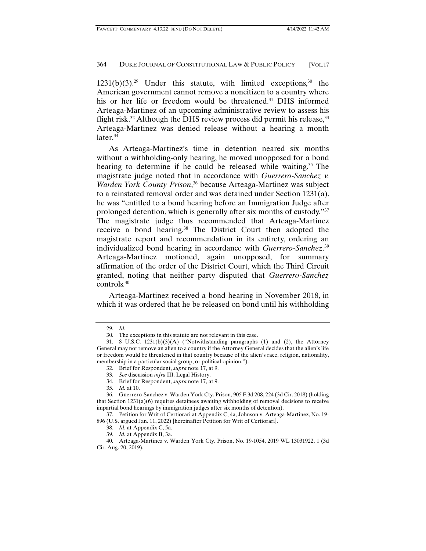$1231(b)(3).^{29}$  Under this statute, with limited exceptions,<sup>30</sup> the American government cannot remove a noncitizen to a country where his or her life or freedom would be threatened.<sup>31</sup> DHS informed Arteaga-Martinez of an upcoming administrative review to assess his flight risk.<sup>32</sup> Although the DHS review process did permit his release,<sup>33</sup> Arteaga-Martinez was denied release without a hearing a month later. $34$ 

As Arteaga-Martinez's time in detention neared six months without a withholding-only hearing, he moved unopposed for a bond hearing to determine if he could be released while waiting.<sup>35</sup> The magistrate judge noted that in accordance with *Guerrero-Sanchez v. Warden York County Prison*, 36 because Arteaga-Martinez was subject to a reinstated removal order and was detained under Section 1231(a), he was "entitled to a bond hearing before an Immigration Judge after prolonged detention, which is generally after six months of custody."37 The magistrate judge thus recommended that Arteaga-Martinez receive a bond hearing.<sup>38</sup> The District Court then adopted the magistrate report and recommendation in its entirety, ordering an individualized bond hearing in accordance with *Guerrero-Sanchez*. 39 Arteaga-Martinez motioned, again unopposed, for summary affirmation of the order of the District Court, which the Third Circuit granted, noting that neither party disputed that *Guerrero-Sanchez* controls.40

Arteaga-Martinez received a bond hearing in November 2018, in which it was ordered that he be released on bond until his withholding

 <sup>29.</sup> *Id.*

 <sup>30.</sup> The exceptions in this statute are not relevant in this case.

 <sup>31. 8</sup> U.S.C. 1231(b)(3)(A) ("Notwithstanding paragraphs (1) and (2), the Attorney General may not remove an alien to a country if the Attorney General decides that the alien's life or freedom would be threatened in that country because of the alien's race, religion, nationality, membership in a particular social group, or political opinion.").

 <sup>32.</sup> Brief for Respondent, *supra* note 17, at 9.

 <sup>33.</sup> *See* discussion *infra* III. Legal History.

 <sup>34.</sup> Brief for Respondent, *supra* note 17, at 9.

 <sup>35.</sup> *Id.* at 10.

 <sup>36.</sup> Guerrero-Sanchez v. Warden York Cty. Prison, 905 F.3d 208, 224 (3d Cir. 2018) (holding that Section 1231(a)(6) requires detainees awaiting withholding of removal decisions to receive impartial bond hearings by immigration judges after six months of detention).

 <sup>37.</sup> Petition for Writ of Certiorari at Appendix C, 4a, Johnson v. Arteaga-Martinez, No. 19- 896 (U.S. argued Jan. 11, 2022) [hereinafter Petition for Writ of Certiorari].

 <sup>38.</sup> *Id.* at Appendix C, 5a.

 <sup>39.</sup> *Id.* at Appendix B, 3a.

 <sup>40.</sup> Arteaga-Martinez v. Warden York Cty. Prison, No. 19-1054, 2019 WL 13031922, 1 (3d Cir. Aug. 20, 2019).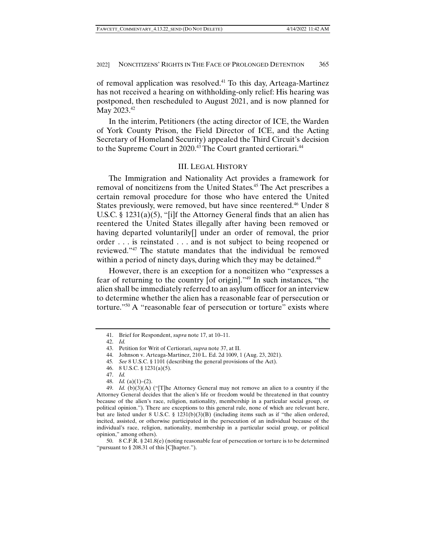of removal application was resolved.<sup>41</sup> To this day, Arteaga-Martinez has not received a hearing on withholding-only relief: His hearing was postponed, then rescheduled to August 2021, and is now planned for May 2023.42

In the interim, Petitioners (the acting director of ICE, the Warden of York County Prison, the Field Director of ICE, and the Acting Secretary of Homeland Security) appealed the Third Circuit's decision to the Supreme Court in 2020.<sup>43</sup> The Court granted certiorari.<sup>44</sup>

## III. LEGAL HISTORY

The Immigration and Nationality Act provides a framework for removal of noncitizens from the United States.<sup>45</sup> The Act prescribes a certain removal procedure for those who have entered the United States previously, were removed, but have since reentered.<sup>46</sup> Under 8 U.S.C. § 1231(a)(5), "[i]f the Attorney General finds that an alien has reentered the United States illegally after having been removed or having departed voluntarily[] under an order of removal, the prior order . . . is reinstated . . . and is not subject to being reopened or reviewed."47 The statute mandates that the individual be removed within a period of ninety days, during which they may be detained.<sup>48</sup>

However, there is an exception for a noncitizen who "expresses a fear of returning to the country [of origin]."49 In such instances, "the alien shall be immediately referred to an asylum officer for an interview to determine whether the alien has a reasonable fear of persecution or torture."50 A "reasonable fear of persecution or torture" exists where

 <sup>41.</sup> Brief for Respondent, *supra* note 17, at 10–11.

 <sup>42.</sup> *Id.*

 <sup>43.</sup> Petition for Writ of Certiorari, *supra* note 37, at II.

 <sup>44.</sup> Johnson v. Arteaga-Martinez, 210 L. Ed. 2d 1009, 1 (Aug. 23, 2021).

<sup>45</sup>*. See* 8 U.S.C. § 1101 (describing the general provisions of the Act).

 <sup>46. 8</sup> U.S.C. § 1231(a)(5).

 <sup>47.</sup> *Id.*

 <sup>48.</sup> *Id.* (a)(1)–(2).

 <sup>49.</sup> *Id.* (b)(3)(A) ("[T]he Attorney General may not remove an alien to a country if the Attorney General decides that the alien's life or freedom would be threatened in that country because of the alien's race, religion, nationality, membership in a particular social group, or political opinion."). There are exceptions to this general rule, none of which are relevant here, but are listed under 8 U.S.C. § 1231(b)(3)(B) (including items such as if "the alien ordered, incited, assisted, or otherwise participated in the persecution of an individual because of the individual's race, religion, nationality, membership in a particular social group, or political opinion," among others).

 <sup>50. 8</sup> C.F.R. § 241.8(e) (noting reasonable fear of persecution or torture is to be determined "pursuant to § 208.31 of this [C]hapter.").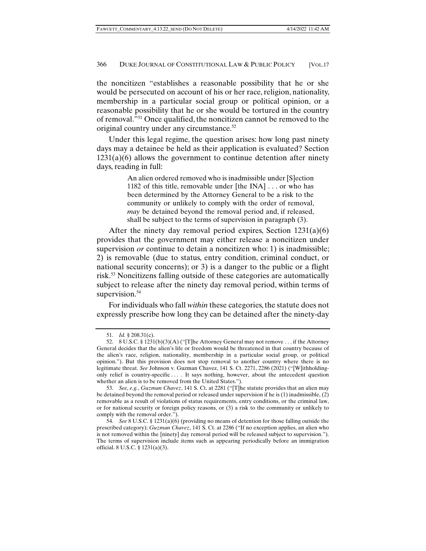the noncitizen "establishes a reasonable possibility that he or she would be persecuted on account of his or her race, religion, nationality, membership in a particular social group or political opinion, or a reasonable possibility that he or she would be tortured in the country of removal."51 Once qualified, the noncitizen cannot be removed to the original country under any circumstance.<sup>52</sup>

Under this legal regime, the question arises: how long past ninety days may a detainee be held as their application is evaluated? Section  $1231(a)(6)$  allows the government to continue detention after ninety days, reading in full:

> An alien ordered removed who is inadmissible under [S]ection 1182 of this title, removable under [the INA] . . . or who has been determined by the Attorney General to be a risk to the community or unlikely to comply with the order of removal, *may* be detained beyond the removal period and, if released, shall be subject to the terms of supervision in paragraph (3).

After the ninety day removal period expires, Section 1231(a)(6) provides that the government may either release a noncitizen under supervision *or* continue to detain a noncitizen who: 1) is inadmissible; 2) is removable (due to status, entry condition, criminal conduct, or national security concerns); or 3) is a danger to the public or a flight risk.53 Noncitizens falling outside of these categories are automatically subject to release after the ninety day removal period, within terms of supervision.<sup>54</sup>

For individuals who fall *within* these categories, the statute does not expressly prescribe how long they can be detained after the ninety-day

 <sup>51.</sup> *Id.* § 208.31(c).

 <sup>52. 8</sup> U.S.C. § 1231(b)(3)(A) ("[T]he Attorney General may not remove . . . if the Attorney General decides that the alien's life or freedom would be threatened in that country because of the alien's race, religion, nationality, membership in a particular social group, or political opinion."). But this provision does not stop removal to another country where there is no legitimate threat. *See* Johnson v. Guzman Chavez, 141 S. Ct. 2271, 2286 (2021) ("[W]ithholdingonly relief is country-specific . . . . It says nothing, however, about the antecedent question whether an alien is to be removed from the United States.").

 <sup>53.</sup> *See, e.g.*, *Guzman Chavez*, 141 S. Ct. at 2281 ("[T]he statute provides that an alien may be detained beyond the removal period or released under supervision if he is (1) inadmissible, (2) removable as a result of violations of status requirements, entry conditions, or the criminal law, or for national security or foreign policy reasons, or (3) a risk to the community or unlikely to comply with the removal order.").

 <sup>54.</sup> *See* 8 U.S.C. § 1231(a)(6) (providing no means of detention for those falling outside the prescribed category); *Guzman Chavez*, 141 S. Ct. at 2286 ("If no exception applies, an alien who is not removed within the [ninety] day removal period will be released subject to supervision."). The terms of supervision include items such as appearing periodically before an immigration official. 8 U.S.C. § 1231(a)(3).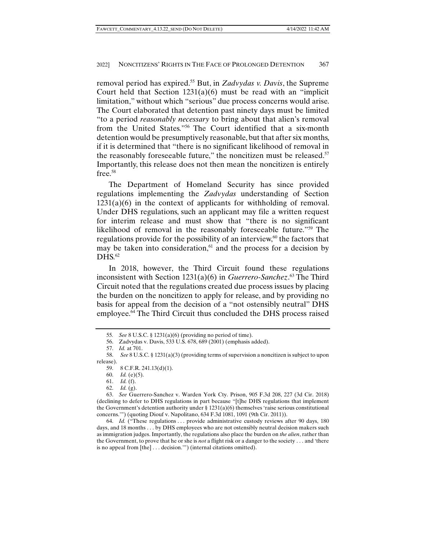removal period has expired.55 But, in *Zadvydas v. Davis*, the Supreme Court held that Section  $1231(a)(6)$  must be read with an "implicit" limitation," without which "serious" due process concerns would arise. The Court elaborated that detention past ninety days must be limited "to a period *reasonably necessary* to bring about that alien's removal from the United States."56 The Court identified that a six-month detention would be presumptively reasonable, but that after six months, if it is determined that "there is no significant likelihood of removal in the reasonably foreseeable future," the noncitizen must be released. $57$ Importantly, this release does not then mean the noncitizen is entirely free.58

The Department of Homeland Security has since provided regulations implementing the *Zadvydas* understanding of Section  $1231(a)(6)$  in the context of applicants for withholding of removal. Under DHS regulations, such an applicant may file a written request for interim release and must show that "there is no significant likelihood of removal in the reasonably foreseeable future."59 The regulations provide for the possibility of an interview, $60$  the factors that may be taken into consideration, $61$  and the process for a decision by  $D<sup>45</sup>$ .62

In 2018, however, the Third Circuit found these regulations inconsistent with Section 1231(a)(6) in *Guerrero-Sanchez*. 63 The Third Circuit noted that the regulations created due process issues by placing the burden on the noncitizen to apply for release, and by providing no basis for appeal from the decision of a "not ostensibly neutral" DHS employee.<sup>64</sup> The Third Circuit thus concluded the DHS process raised

<sup>55</sup>*. See* 8 U.S.C. § 1231(a)(6) (providing no period of time).

 <sup>56.</sup> Zadvydas v. Davis, 533 U.S. 678, 689 (2001) (emphasis added).

 <sup>57.</sup> *Id.* at 701.

 <sup>58.</sup> *See* 8 U.S.C. § 1231(a)(3) (providing terms of supervision a noncitizen is subject to upon release).

 <sup>59. 8</sup> C.F.R. 241.13(d)(1).

 <sup>60.</sup> *Id.* (e)(5).

 <sup>61.</sup> *Id.* (f).

 <sup>62.</sup> *Id.* (g).

 <sup>63.</sup> *See* Guerrero-Sanchez v. Warden York Cty. Prison, 905 F.3d 208, 227 (3d Cir. 2018) (declining to defer to DHS regulations in part because "[t]he DHS regulations that implement the Government's detention authority under  $\S 1231(a)(6)$  themselves 'raise serious constitutional concerns.'") (quoting Diouf v. Napolitano, 634 F.3d 1081, 1091 (9th Cir. 2011)).

<sup>64.</sup> *Id.* ("These regulations ... provide administrative custody reviews after 90 days, 180 days, and 18 months . . . by DHS employees who are not ostensibly neutral decision makers such as immigration judges. Importantly, the regulations also place the burden on *the alien*, rather than the Government, to prove that he or she is *not* a flight risk or a danger to the society . . . and 'there is no appeal from [the] . . . decision.'") (internal citations omitted).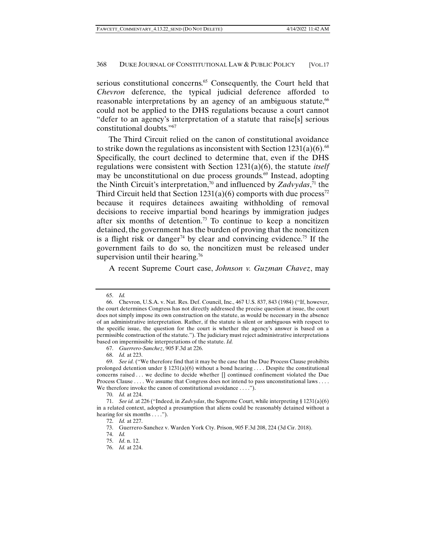serious constitutional concerns.<sup>65</sup> Consequently, the Court held that *Chevron* deference, the typical judicial deference afforded to reasonable interpretations by an agency of an ambiguous statute, $66$ could not be applied to the DHS regulations because a court cannot "defer to an agency's interpretation of a statute that raise[s] serious constitutional doubts."67

The Third Circuit relied on the canon of constitutional avoidance to strike down the regulations as inconsistent with Section  $1231(a)(6)$ .<sup>68</sup> Specifically, the court declined to determine that, even if the DHS regulations were consistent with Section 1231(a)(6), the statute *itself*  may be unconstitutional on due process grounds.<sup>69</sup> Instead, adopting the Ninth Circuit's interpretation,<sup>70</sup> and influenced by *Zadvydas*,<sup>71</sup> the Third Circuit held that Section  $1231(a)(6)$  comports with due process<sup>72</sup> because it requires detainees awaiting withholding of removal decisions to receive impartial bond hearings by immigration judges after six months of detention.<sup>73</sup> To continue to keep a noncitizen detained, the government has the burden of proving that the noncitizen is a flight risk or danger<sup>74</sup> by clear and convincing evidence.<sup>75</sup> If the government fails to do so, the noncitizen must be released under supervision until their hearing.<sup>76</sup>

A recent Supreme Court case, *Johnson v. Guzman Chavez*, may

68. *Id.* at 223.

74. *Id.*

 <sup>65.</sup> *Id.*

 <sup>66.</sup> Chevron, U.S.A. v. Nat. Res. Def. Council, Inc., 467 U.S. 837, 843 (1984) ("If, however, the court determines Congress has not directly addressed the precise question at issue, the court does not simply impose its own construction on the statute, as would be necessary in the absence of an administrative interpretation. Rather, if the statute is silent or ambiguous with respect to the specific issue, the question for the court is whether the agency's answer is based on a permissible construction of the statute."). The judiciary must reject administrative interpretations based on impermissible interpretations of the statute. *Id.*

 <sup>67.</sup> *Guerrero-Sanchez*, 905 F.3d at 226.

 <sup>69.</sup> *See id.* ("We therefore find that it may be the case that the Due Process Clause prohibits prolonged detention under § 1231(a)(6) without a bond hearing ... . Despite the constitutional concerns raised . . . we decline to decide whether [] continued confinement violated the Due Process Clause . . . . We assume that Congress does not intend to pass unconstitutional laws . . . . We therefore invoke the canon of constitutional avoidance . . . .").

 <sup>70.</sup> *Id.* at 224.

 <sup>71.</sup> *See id.* at 226 ("Indeed, in *Zadvydas*, the Supreme Court, while interpreting § 1231(a)(6) in a related context, adopted a presumption that aliens could be reasonably detained without a hearing for six months . . . .").

 <sup>72.</sup> *Id.* at 227.

 <sup>73.</sup> Guerrero-Sanchez v. Warden York Cty. Prison, 905 F.3d 208, 224 (3d Cir. 2018).

 <sup>75.</sup> *Id*. n. 12.

 <sup>76.</sup> *Id.* at 224.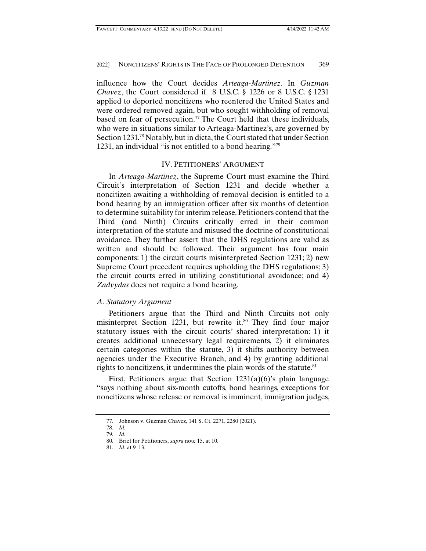influence how the Court decides *Arteaga-Martinez*. In *Guzman Chavez*, the Court considered if 8 U.S.C. § 1226 or 8 U.S.C. § 1231 applied to deported noncitizens who reentered the United States and were ordered removed again, but who sought withholding of removal based on fear of persecution.<sup>77</sup> The Court held that these individuals, who were in situations similar to Arteaga-Martinez's, are governed by Section 1231.78 Notably, but in dicta, the Court stated that under Section 1231, an individual "is not entitled to a bond hearing."79

## IV. PETITIONERS' ARGUMENT

In *Arteaga-Martinez*, the Supreme Court must examine the Third Circuit's interpretation of Section 1231 and decide whether a noncitizen awaiting a withholding of removal decision is entitled to a bond hearing by an immigration officer after six months of detention to determine suitability for interim release. Petitioners contend that the Third (and Ninth) Circuits critically erred in their common interpretation of the statute and misused the doctrine of constitutional avoidance. They further assert that the DHS regulations are valid as written and should be followed. Their argument has four main components: 1) the circuit courts misinterpreted Section 1231; 2) new Supreme Court precedent requires upholding the DHS regulations; 3) the circuit courts erred in utilizing constitutional avoidance; and 4) *Zadvydas* does not require a bond hearing.

#### *A. Statutory Argument*

Petitioners argue that the Third and Ninth Circuits not only misinterpret Section 1231, but rewrite it.<sup>80</sup> They find four major statutory issues with the circuit courts' shared interpretation: 1) it creates additional unnecessary legal requirements, 2) it eliminates certain categories within the statute, 3) it shifts authority between agencies under the Executive Branch, and 4) by granting additional rights to noncitizens, it undermines the plain words of the statute. $81$ 

First, Petitioners argue that Section  $1231(a)(6)$ 's plain language "says nothing about six-month cutoffs, bond hearings, exceptions for noncitizens whose release or removal is imminent, immigration judges,

 <sup>77.</sup> Johnson v. Guzman Chavez, 141 S. Ct. 2271, 2280 (2021).

 <sup>78.</sup> *Id.*

 <sup>79.</sup> *Id.*

 <sup>80.</sup> Brief for Petitioners, *supra* note 15, at 10.

 <sup>81.</sup> *Id.* at 9–13.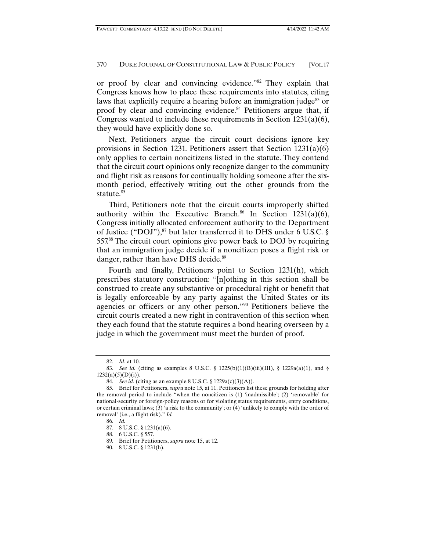or proof by clear and convincing evidence."82 They explain that Congress knows how to place these requirements into statutes, citing laws that explicitly require a hearing before an immigration judge<sup>83</sup> or proof by clear and convincing evidence.<sup>84</sup> Petitioners argue that, if Congress wanted to include these requirements in Section 1231(a)(6), they would have explicitly done so.

Next, Petitioners argue the circuit court decisions ignore key provisions in Section 1231. Petitioners assert that Section 1231(a)(6) only applies to certain noncitizens listed in the statute. They contend that the circuit court opinions only recognize danger to the community and flight risk as reasons for continually holding someone after the sixmonth period, effectively writing out the other grounds from the statute.<sup>85</sup>

Third, Petitioners note that the circuit courts improperly shifted authority within the Executive Branch.<sup>86</sup> In Section 1231(a)(6), Congress initially allocated enforcement authority to the Department of Justice ("DOJ"), $87$  but later transferred it to DHS under 6 U.S.C. § 557.88 The circuit court opinions give power back to DOJ by requiring that an immigration judge decide if a noncitizen poses a flight risk or danger, rather than have DHS decide.<sup>89</sup>

Fourth and finally, Petitioners point to Section 1231(h), which prescribes statutory construction: "[n]othing in this section shall be construed to create any substantive or procedural right or benefit that is legally enforceable by any party against the United States or its agencies or officers or any other person."90 Petitioners believe the circuit courts created a new right in contravention of this section when they each found that the statute requires a bond hearing overseen by a judge in which the government must meet the burden of proof.

 <sup>82.</sup> *Id.* at 10.

<sup>83.</sup> *See id.* (citing as examples 8 U.S.C. § 1225(b)(1)(B)(iii)(III), § 1229a(a)(1), and §  $1232(a)(5)(D)(i)).$ 

 <sup>84.</sup> *See id.* (citing as an example 8 U.S.C. § 1229a(c)(3)(A)).

 <sup>85.</sup> Brief for Petitioners, *supra* note 15*,* at 11. Petitioners list these grounds for holding after the removal period to include "when the noncitizen is (1) 'inadmissible'; (2) 'removable' for national-security or foreign-policy reasons or for violating status requirements, entry conditions, or certain criminal laws; (3) 'a risk to the community'; or (4) 'unlikely to comply with the order of removal' (i.e., a flight risk)." *Id.*

 <sup>86.</sup> *Id.*

 <sup>87. 8</sup> U.S.C. § 1231(a)(6).

 <sup>88. 6</sup> U.S.C. § 557.

 <sup>89.</sup> Brief for Petitioners, *supra* note 15, at 12.

 <sup>90. 8</sup> U.S.C. § 1231(h).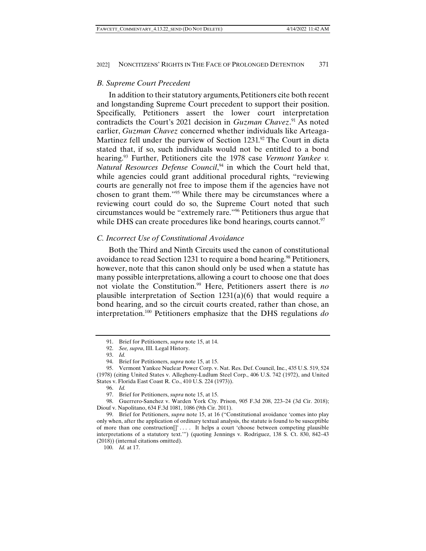## *B. Supreme Court Precedent*

In addition to their statutory arguments, Petitioners cite both recent and longstanding Supreme Court precedent to support their position. Specifically, Petitioners assert the lower court interpretation contradicts the Court's 2021 decision in *Guzman Chavez*. 91 As noted earlier, *Guzman Chavez* concerned whether individuals like Arteaga-Martinez fell under the purview of Section  $1231$ .<sup>92</sup> The Court in dicta stated that, if so, such individuals would not be entitled to a bond hearing.93 Further, Petitioners cite the 1978 case *Vermont Yankee v. Natural Resources Defense Council*, 94 in which the Court held that, while agencies could grant additional procedural rights, "reviewing courts are generally not free to impose them if the agencies have not chosen to grant them."95 While there may be circumstances where a reviewing court could do so, the Supreme Court noted that such circumstances would be "extremely rare."96 Petitioners thus argue that while DHS can create procedures like bond hearings, courts cannot.<sup>97</sup>

# *C. Incorrect Use of Constitutional Avoidance*

Both the Third and Ninth Circuits used the canon of constitutional avoidance to read Section 1231 to require a bond hearing.<sup>98</sup> Petitioners, however, note that this canon should only be used when a statute has many possible interpretations, allowing a court to choose one that does not violate the Constitution.99 Here, Petitioners assert there is *no* plausible interpretation of Section 1231(a)(6) that would require a bond hearing, and so the circuit courts created, rather than chose, an interpretation.100 Petitioners emphasize that the DHS regulations *do* 

 <sup>91.</sup> Brief for Petitioners, *supra* note 15, at 14.

 <sup>92.</sup> *See, supra*, III. Legal History.

 <sup>93.</sup> *Id.* 

 <sup>94.</sup> Brief for Petitioners, *supra* note 15, at 15.

 <sup>95.</sup> Vermont Yankee Nuclear Power Corp. v. Nat. Res. Def. Council, Inc., 435 U.S. 519, 524 (1978) (citing United States v. Allegheny-Ludlum Steel Corp., 406 U.S. 742 (1972), and United States v. Florida East Coast R. Co., 410 U.S. 224 (1973)).

 <sup>96.</sup> *Id.*

 <sup>97.</sup> Brief for Petitioners, *supra* note 15, at 15.

 <sup>98.</sup> Guerrero-Sanchez v. Warden York Cty. Prison, 905 F.3d 208, 223–24 (3d Cir. 2018); Diouf v. Napolitano, 634 F.3d 1081, 1086 (9th Cir. 2011).

 <sup>99.</sup> Brief for Petitioners, *supra* note 15, at 16 ("Constitutional avoidance 'comes into play only when, after the application of ordinary textual analysis, the statute is found to be susceptible of more than one construction[]' . . . . It helps a court 'choose between competing plausible interpretations of a statutory text.'") (quoting Jennings v. Rodriguez, 138 S. Ct. 830, 842–43 (2018)) (internal citations omitted).

 <sup>100.</sup> *Id.* at 17.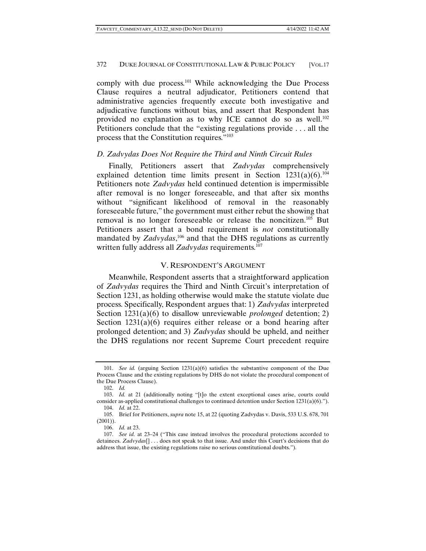comply with due process.101 While acknowledging the Due Process Clause requires a neutral adjudicator, Petitioners contend that administrative agencies frequently execute both investigative and adjudicative functions without bias, and assert that Respondent has provided no explanation as to why ICE cannot do so as well.<sup>102</sup> Petitioners conclude that the "existing regulations provide . . . all the process that the Constitution requires."103

# *D. Zadvydas Does Not Require the Third and Ninth Circuit Rules*

Finally, Petitioners assert that *Zadvydas* comprehensively explained detention time limits present in Section  $1231(a)(6)$ .<sup>104</sup> Petitioners note *Zadvydas* held continued detention is impermissible after removal is no longer foreseeable, and that after six months without "significant likelihood of removal in the reasonably foreseeable future," the government must either rebut the showing that removal is no longer foreseeable or release the noncitizen.<sup>105</sup> But Petitioners assert that a bond requirement is *not* constitutionally mandated by *Zadvydas*<sup>106</sup> and that the DHS regulations as currently written fully address all *Zadvydas* requirements.<sup>107</sup>

## V. RESPONDENT'S ARGUMENT

Meanwhile, Respondent asserts that a straightforward application of *Zadvydas* requires the Third and Ninth Circuit's interpretation of Section 1231, as holding otherwise would make the statute violate due process. Specifically, Respondent argues that: 1) *Zadvydas* interpreted Section 1231(a)(6) to disallow unreviewable *prolonged* detention; 2) Section  $1231(a)(6)$  requires either release or a bond hearing after prolonged detention; and 3) *Zadvydas* should be upheld, and neither the DHS regulations nor recent Supreme Court precedent require

 <sup>101.</sup> *See id.* (arguing Section 1231(a)(6) satisfies the substantive component of the Due Process Clause and the existing regulations by DHS do not violate the procedural component of the Due Process Clause).

 <sup>102.</sup> *Id.*

 <sup>103.</sup> *Id.* at 21 (additionally noting "[t]o the extent exceptional cases arise, courts could consider as-applied constitutional challenges to continued detention under Section  $1231(a)(6)$ .").

 <sup>104.</sup> *Id.* at 22.

 <sup>105.</sup> Brief for Petitioners, *supra* note 15, at 22 (quoting Zadvydas v. Davis, 533 U.S. 678, 701 (2001)).

 <sup>106.</sup> *Id.* at 23.

 <sup>107.</sup> *See id.* at 23–24 ("This case instead involves the procedural protections accorded to detainees. *Zadvydas*[] . . . does not speak to that issue. And under this Court's decisions that do address that issue, the existing regulations raise no serious constitutional doubts.").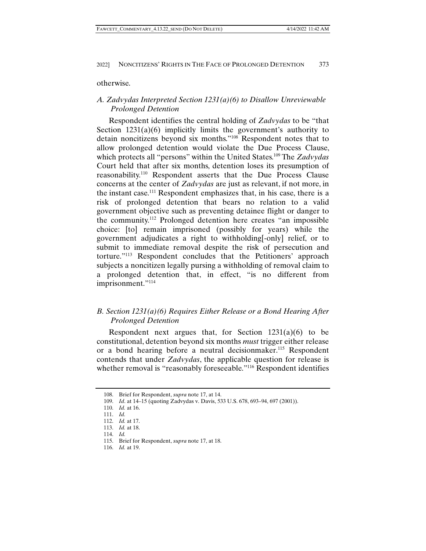otherwise.

# *A. Zadvydas Interpreted Section 1231(a)(6) to Disallow Unreviewable Prolonged Detention*

Respondent identifies the central holding of *Zadvydas* to be "that Section 1231(a)(6) implicitly limits the government's authority to detain noncitizens beyond six months."108 Respondent notes that to allow prolonged detention would violate the Due Process Clause, which protects all "persons" within the United States.109 The *Zadvydas* Court held that after six months, detention loses its presumption of reasonability.110 Respondent asserts that the Due Process Clause concerns at the center of *Zadvydas* are just as relevant, if not more, in the instant case.111 Respondent emphasizes that, in his case, there is a risk of prolonged detention that bears no relation to a valid government objective such as preventing detainee flight or danger to the community.112 Prolonged detention here creates "an impossible choice: [to] remain imprisoned (possibly for years) while the government adjudicates a right to withholding[-only] relief, or to submit to immediate removal despite the risk of persecution and torture."113 Respondent concludes that the Petitioners' approach subjects a noncitizen legally pursing a withholding of removal claim to a prolonged detention that, in effect, "is no different from imprisonment."<sup>114</sup>

# *B. Section 1231(a)(6) Requires Either Release or a Bond Hearing After Prolonged Detention*

Respondent next argues that, for Section 1231(a)(6) to be constitutional, detention beyond six months *must* trigger either release or a bond hearing before a neutral decisionmaker.<sup>115</sup> Respondent contends that under *Zadvydas*, the applicable question for release is whether removal is "reasonably foreseeable."<sup>116</sup> Respondent identifies

 <sup>108.</sup> Brief for Respondent, *supra* note 17, at 14.

 <sup>109.</sup> *Id*. at 14–15 (quoting Zadvydas v. Davis, 533 U.S. 678, 693–94, 697 (2001)).

 <sup>110.</sup> *Id.* at 16.

 <sup>111.</sup> *Id.* 

 <sup>112.</sup> *Id.* at 17.

 <sup>113.</sup> *Id.* at 18.

 <sup>114.</sup> *Id.*

 <sup>115.</sup> Brief for Respondent, *supra* note 17, at 18.

 <sup>116.</sup> *Id.* at 19.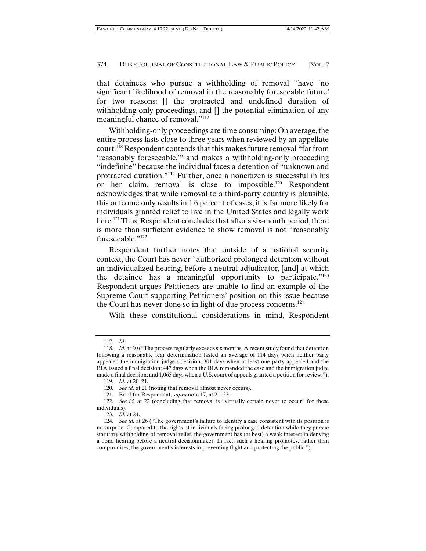that detainees who pursue a withholding of removal "have 'no significant likelihood of removal in the reasonably foreseeable future' for two reasons: [] the protracted and undefined duration of withholding-only proceedings, and [] the potential elimination of any meaningful chance of removal."<sup>117</sup>

Withholding-only proceedings are time consuming: On average, the entire process lasts close to three years when reviewed by an appellate court.118 Respondent contends that this makes future removal "far from 'reasonably foreseeable,'" and makes a withholding-only proceeding "indefinite" because the individual faces a detention of "unknown and protracted duration."119 Further, once a noncitizen is successful in his or her claim, removal is close to impossible.120 Respondent acknowledges that while removal to a third-party country is plausible, this outcome only results in 1.6 percent of cases; it is far more likely for individuals granted relief to live in the United States and legally work here.<sup>121</sup> Thus, Respondent concludes that after a six-month period, there is more than sufficient evidence to show removal is not "reasonably foreseeable."122

Respondent further notes that outside of a national security context, the Court has never "authorized prolonged detention without an individualized hearing, before a neutral adjudicator, [and] at which the detainee has a meaningful opportunity to participate."123 Respondent argues Petitioners are unable to find an example of the Supreme Court supporting Petitioners' position on this issue because the Court has never done so in light of due process concerns.124

With these constitutional considerations in mind, Respondent

 <sup>117.</sup> *Id.*

 <sup>118.</sup> *Id.* at 20 ("The process regularly exceeds six months. A recent study found that detention following a reasonable fear determination lasted an average of 114 days when neither party appealed the immigration judge's decision; 301 days when at least one party appealed and the BIA issued a final decision; 447 days when the BIA remanded the case and the immigration judge made a final decision; and 1,065 days when a U.S. court of appeals granted a petition for review.").

 <sup>119.</sup> *Id.* at 20–21.

 <sup>120.</sup> *See id.* at 21 (noting that removal almost never occurs).

 <sup>121.</sup> Brief for Respondent, *supra* note 17, at 21–22.

<sup>122.</sup> *See id.* at 22 (concluding that removal is "virtually certain never to occur" for these individuals).

 <sup>123.</sup> *Id.* at 24.

 <sup>124.</sup> *See id.* at 26 ("The government's failure to identify a case consistent with its position is no surprise. Compared to the rights of individuals facing prolonged detention while they pursue statutory withholding-of-removal relief, the government has (at best) a weak interest in denying a bond hearing before a neutral decisionmaker. In fact, such a hearing promotes, rather than compromises, the government's interests in preventing flight and protecting the public.").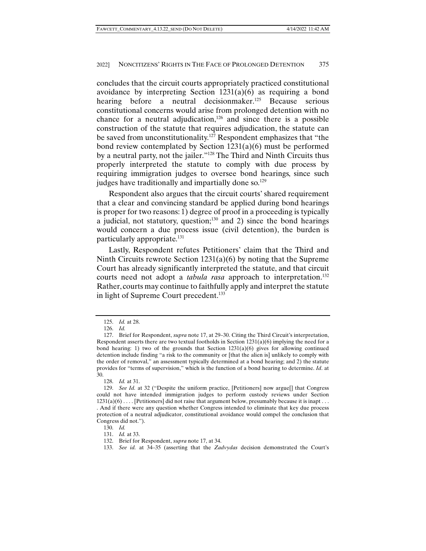concludes that the circuit courts appropriately practiced constitutional avoidance by interpreting Section  $1231(a)(6)$  as requiring a bond hearing before a neutral decisionmaker.<sup>125</sup> Because serious constitutional concerns would arise from prolonged detention with no chance for a neutral adjudication, $126$  and since there is a possible construction of the statute that requires adjudication, the statute can be saved from unconstitutionality.<sup>127</sup> Respondent emphasizes that "the bond review contemplated by Section 1231(a)(6) must be performed by a neutral party, not the jailer."128 The Third and Ninth Circuits thus properly interpreted the statute to comply with due process by requiring immigration judges to oversee bond hearings, since such judges have traditionally and impartially done so.<sup>129</sup>

Respondent also argues that the circuit courts' shared requirement that a clear and convincing standard be applied during bond hearings is proper for two reasons: 1) degree of proof in a proceeding is typically a judicial, not statutory, question; $130$  and 2) since the bond hearings would concern a due process issue (civil detention), the burden is particularly appropriate.<sup>131</sup>

Lastly, Respondent refutes Petitioners' claim that the Third and Ninth Circuits rewrote Section 1231(a)(6) by noting that the Supreme Court has already significantly interpreted the statute, and that circuit courts need not adopt a *tabula rasa* approach to interpretation.<sup>132</sup> Rather, courts may continue to faithfully apply and interpret the statute in light of Supreme Court precedent.<sup>133</sup>

 <sup>125.</sup> *Id.* at 28.

 <sup>126.</sup> *Id.*

 <sup>127.</sup> Brief for Respondent, *supra* note 17, at 29–30. Citing the Third Circuit's interpretation, Respondent asserts there are two textual footholds in Section  $1231(a)(6)$  implying the need for a bond hearing: 1) two of the grounds that Section  $1231(a)(6)$  gives for allowing continued detention include finding "a risk to the community or [that the alien is] unlikely to comply with the order of removal," an assessment typically determined at a bond hearing; and 2) the statute provides for "terms of supervision," which is the function of a bond hearing to determine. *Id*. at 30.

 <sup>128.</sup> *Id.* at 31.

 <sup>129.</sup> *See Id.* at 32 ("Despite the uniform practice, [Petitioners] now argue[] that Congress could not have intended immigration judges to perform custody reviews under Section  $1231(a)(6) \ldots$  [Petitioners] did not raise that argument below, presumably because it is inapt ... . And if there were any question whether Congress intended to eliminate that key due process protection of a neutral adjudicator, constitutional avoidance would compel the conclusion that Congress did not.").

 <sup>130.</sup> *Id.*

 <sup>131.</sup> *Id.* at 33.

 <sup>132.</sup> Brief for Respondent, *supra* note 17, at 34.

 <sup>133.</sup> *See id.* at 34–35 (asserting that the *Zadvydas* decision demonstrated the Court's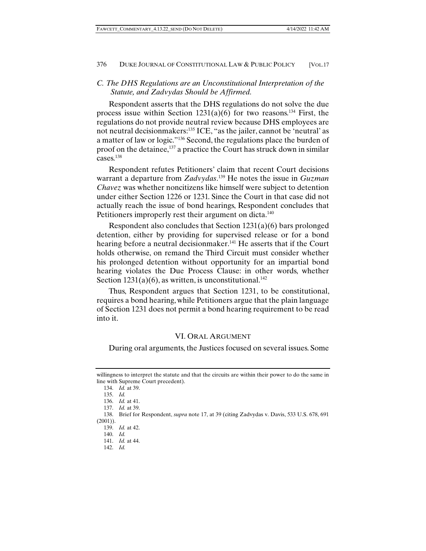# *C. The DHS Regulations are an Unconstitutional Interpretation of the Statute, and Zadvydas Should be Affirmed.*

Respondent asserts that the DHS regulations do not solve the due process issue within Section  $1231(a)(6)$  for two reasons.<sup>134</sup> First, the regulations do not provide neutral review because DHS employees are not neutral decisionmakers:<sup>135</sup> ICE, "as the jailer, cannot be 'neutral' as a matter of law or logic."136 Second, the regulations place the burden of proof on the detainee,  $137$  a practice the Court has struck down in similar cases.138

Respondent refutes Petitioners' claim that recent Court decisions warrant a departure from *Zadvydas*. 139 He notes the issue in *Guzman Chavez* was whether noncitizens like himself were subject to detention under either Section 1226 or 1231. Since the Court in that case did not actually reach the issue of bond hearings, Respondent concludes that Petitioners improperly rest their argument on dicta.<sup>140</sup>

Respondent also concludes that Section 1231(a)(6) bars prolonged detention, either by providing for supervised release or for a bond hearing before a neutral decisionmaker.<sup>141</sup> He asserts that if the Court holds otherwise, on remand the Third Circuit must consider whether his prolonged detention without opportunity for an impartial bond hearing violates the Due Process Clause: in other words, whether Section  $1231(a)(6)$ , as written, is unconstitutional.<sup>142</sup>

Thus, Respondent argues that Section 1231, to be constitutional, requires a bond hearing, while Petitioners argue that the plain language of Section 1231 does not permit a bond hearing requirement to be read into it.

#### VI. ORAL ARGUMENT

During oral arguments, the Justices focused on several issues. Some

142. *Id.*

willingness to interpret the statute and that the circuits are within their power to do the same in line with Supreme Court precedent).

 <sup>134.</sup> *Id.* at 39.

 <sup>135.</sup> *Id.*

 <sup>136.</sup> *Id.* at 41.

 <sup>137.</sup> *Id.* at 39.

 <sup>138.</sup> Brief for Respondent, *supra* note 17, at 39 (citing Zadvydas v. Davis, 533 U.S. 678, 691 (2001)).

 <sup>139.</sup> *Id.* at 42.

 <sup>140.</sup> *Id.*

 <sup>141.</sup> *Id.* at 44.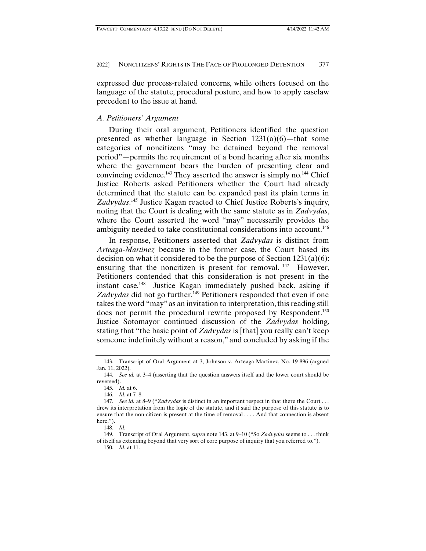expressed due process-related concerns, while others focused on the language of the statute, procedural posture, and how to apply caselaw precedent to the issue at hand.

## *A. Petitioners' Argument*

During their oral argument, Petitioners identified the question presented as whether language in Section  $1231(a)(6)$ —that some categories of noncitizens "may be detained beyond the removal period"—permits the requirement of a bond hearing after six months where the government bears the burden of presenting clear and convincing evidence.143 They asserted the answer is simply no.144 Chief Justice Roberts asked Petitioners whether the Court had already determined that the statute can be expanded past its plain terms in *Zadvydas*. 145 Justice Kagan reacted to Chief Justice Roberts's inquiry, noting that the Court is dealing with the same statute as in *Zadvydas*, where the Court asserted the word "may" necessarily provides the ambiguity needed to take constitutional considerations into account.<sup>146</sup>

In response, Petitioners asserted that *Zadvydas* is distinct from *Arteaga-Martinez* because in the former case, the Court based its decision on what it considered to be the purpose of Section  $1231(a)(6)$ : ensuring that the noncitizen is present for removal.  $147$  However, Petitioners contended that this consideration is not present in the instant case.148 Justice Kagan immediately pushed back, asking if Zadvydas did not go further.<sup>149</sup> Petitioners responded that even if one takes the word "may" as an invitation to interpretation, this reading still does not permit the procedural rewrite proposed by Respondent.<sup>150</sup> Justice Sotomayor continued discussion of the *Zadvydas* holding, stating that "the basic point of *Zadvydas* is [that] you really can't keep someone indefinitely without a reason," and concluded by asking if the

 <sup>143.</sup> Transcript of Oral Argument at 3, Johnson v. Arteaga-Martinez, No. 19-896 (argued Jan. 11, 2022).

 <sup>144.</sup> *See id.* at 3–4 (asserting that the question answers itself and the lower court should be reversed).

 <sup>145.</sup> *Id.* at 6.

 <sup>146.</sup> *Id.* at 7–8.

 <sup>147.</sup> *See id.* at 8–9 ("*Zadvydas* is distinct in an important respect in that there the Court . . . drew its interpretation from the logic of the statute, and it said the purpose of this statute is to ensure that the non-citizen is present at the time of removal . . . . And that connection is absent here.").

 <sup>148.</sup> *Id.*

 <sup>149.</sup> Transcript of Oral Argument, *supra* note 143, at 9–10 ("So *Zadvydas* seems to . . . think of itself as extending beyond that very sort of core purpose of inquiry that you referred to.").

 <sup>150.</sup> *Id.* at 11.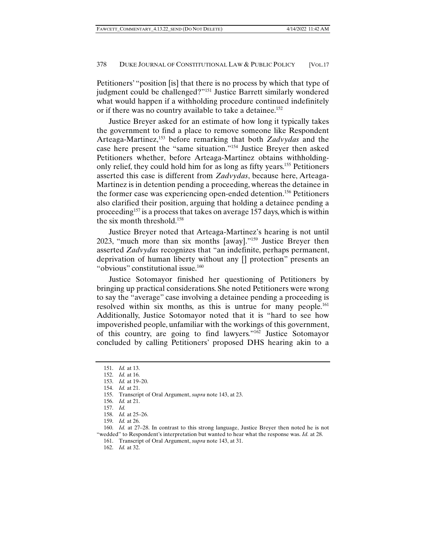Petitioners' "position [is] that there is no process by which that type of judgment could be challenged?"151 Justice Barrett similarly wondered what would happen if a withholding procedure continued indefinitely or if there was no country available to take a detainee.152

Justice Breyer asked for an estimate of how long it typically takes the government to find a place to remove someone like Respondent Arteaga-Martinez,153 before remarking that both *Zadvydas* and the case here present the "same situation."154 Justice Breyer then asked Petitioners whether, before Arteaga-Martinez obtains withholdingonly relief, they could hold him for as long as fifty years.155 Petitioners asserted this case is different from *Zadvydas*, because here, Arteaga-Martinez is in detention pending a proceeding, whereas the detainee in the former case was experiencing open-ended detention.156 Petitioners also clarified their position, arguing that holding a detainee pending a proceeding157 is a process that takes on average 157 days, which is within the six month threshold.158

Justice Breyer noted that Arteaga-Martinez's hearing is not until 2023, "much more than six months [away]."159 Justice Breyer then asserted *Zadvydas* recognizes that "an indefinite, perhaps permanent, deprivation of human liberty without any [] protection" presents an "obvious" constitutional issue.<sup>160</sup>

Justice Sotomayor finished her questioning of Petitioners by bringing up practical considerations. She noted Petitioners were wrong to say the "average" case involving a detainee pending a proceeding is resolved within six months, as this is untrue for many people.<sup>161</sup> Additionally, Justice Sotomayor noted that it is "hard to see how impoverished people, unfamiliar with the workings of this government, of this country, are going to find lawyers."162 Justice Sotomayor concluded by calling Petitioners' proposed DHS hearing akin to a

 <sup>151.</sup> *Id.* at 13.

 <sup>152.</sup> *Id.* at 16.

 <sup>153.</sup> *Id.* at 19–20.

 <sup>154.</sup> *Id.* at 21.

 <sup>155.</sup> Transcript of Oral Argument, *supra* note 143, at 23.

 <sup>156.</sup> *Id.* at 21.

 <sup>157.</sup> *Id.*

 <sup>158.</sup> *Id.* at 25–26.

 <sup>159.</sup> *Id.* at 26.

 <sup>160.</sup> *Id.* at 27–28. In contrast to this strong language, Justice Breyer then noted he is not "wedded" to Respondent's interpretation but wanted to hear what the response was. *Id.* at 28.

 <sup>161.</sup> Transcript of Oral Argument, *supra* note 143, at 31.

 <sup>162.</sup> *Id.* at 32.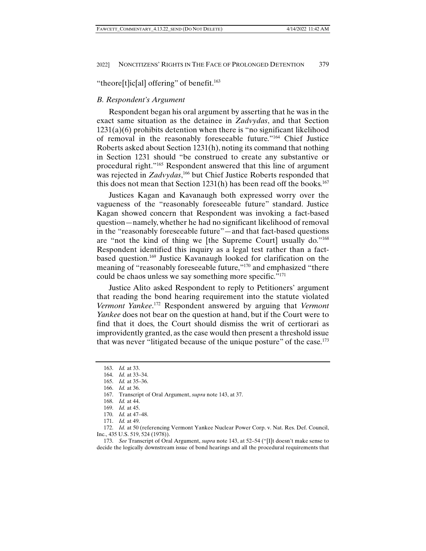"theore[t]ic[al] offering" of benefit.<sup>163</sup>

### *B. Respondent's Argument*

Respondent began his oral argument by asserting that he was in the exact same situation as the detainee in *Zadvydas*, and that Section  $1231(a)(6)$  prohibits detention when there is "no significant likelihood of removal in the reasonably foreseeable future."164 Chief Justice Roberts asked about Section 1231(h), noting its command that nothing in Section 1231 should "be construed to create any substantive or procedural right."165 Respondent answered that this line of argument was rejected in *Zadvydas*, 166 but Chief Justice Roberts responded that this does not mean that Section  $1231(h)$  has been read off the books.<sup>167</sup>

Justices Kagan and Kavanaugh both expressed worry over the vagueness of the "reasonably foreseeable future" standard. Justice Kagan showed concern that Respondent was invoking a fact-based question—namely, whether he had no significant likelihood of removal in the "reasonably foreseeable future"—and that fact-based questions are "not the kind of thing we [the Supreme Court] usually do."168 Respondent identified this inquiry as a legal test rather than a factbased question.169 Justice Kavanaugh looked for clarification on the meaning of "reasonably foreseeable future,"<sup>170</sup> and emphasized "there could be chaos unless we say something more specific."171

Justice Alito asked Respondent to reply to Petitioners' argument that reading the bond hearing requirement into the statute violated *Vermont Yankee*. 172 Respondent answered by arguing that *Vermont Yankee* does not bear on the question at hand, but if the Court were to find that it does, the Court should dismiss the writ of certiorari as improvidently granted, as the case would then present a threshold issue that was never "litigated because of the unique posture" of the case.173

 <sup>163.</sup> *Id.* at 33.

 <sup>164.</sup> *Id.* at 33–34.

 <sup>165.</sup> *Id.* at 35–36.

 <sup>166.</sup> *Id.* at 36.

 <sup>167.</sup> Transcript of Oral Argument, *supra* note 143, at 37.

 <sup>168.</sup> *Id.* at 44.

 <sup>169.</sup> *Id.* at 45.

 <sup>170.</sup> *Id.* at 47–48.

 <sup>171.</sup> *Id.* at 49.

 <sup>172.</sup> *Id.* at 50 (referencing Vermont Yankee Nuclear Power Corp. v. Nat. Res. Def. Council, Inc., 435 U.S. 519, 524 (1978)).

 <sup>173.</sup> *See* Transcript of Oral Argument, *supra* note 143, at 52–54 ("[I]t doesn't make sense to decide the logically downstream issue of bond hearings and all the procedural requirements that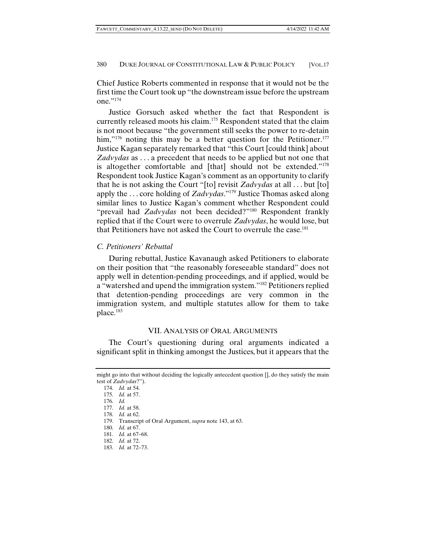Chief Justice Roberts commented in response that it would not be the first time the Court took up "the downstream issue before the upstream one."174

Justice Gorsuch asked whether the fact that Respondent is currently released moots his claim.<sup>175</sup> Respondent stated that the claim is not moot because "the government still seeks the power to re-detain him,"<sup>176</sup> noting this may be a better question for the Petitioner.<sup>177</sup> Justice Kagan separately remarked that "this Court [could think] about *Zadvydas* as . . . a precedent that needs to be applied but not one that is altogether comfortable and [that] should not be extended."178 Respondent took Justice Kagan's comment as an opportunity to clarify that he is not asking the Court "[to] revisit *Zadvydas* at all . . . but [to] apply the . . . core holding of *Zadvydas*."179 Justice Thomas asked along similar lines to Justice Kagan's comment whether Respondent could "prevail had *Zadvydas* not been decided?"180 Respondent frankly replied that if the Court were to overrule *Zadvydas*, he would lose, but that Petitioners have not asked the Court to overrule the case.<sup>181</sup>

# *C. Petitioners' Rebuttal*

During rebuttal, Justice Kavanaugh asked Petitioners to elaborate on their position that "the reasonably foreseeable standard" does not apply well in detention-pending proceedings, and if applied, would be a "watershed and upend the immigration system."182 Petitioners replied that detention-pending proceedings are very common in the immigration system, and multiple statutes allow for them to take place.183

## VII. ANALYSIS OF ORAL ARGUMENTS

The Court's questioning during oral arguments indicated a significant split in thinking amongst the Justices, but it appears that the

might go into that without deciding the logically antecedent question [], do they satisfy the main test of *Zadvydas*?").

 <sup>174.</sup> *Id.* at 54.

 <sup>175.</sup> *Id.* at 57.

 <sup>176.</sup> *Id.*

 <sup>177.</sup> *Id.* at 58.

 <sup>178.</sup> *Id.* at 62.

 <sup>179.</sup> Transcript of Oral Argument, *supra* note 143, at 63.

 <sup>180.</sup> *Id.* at 67.

 <sup>181.</sup> *Id.* at 67–68.

 <sup>182.</sup> *Id.* at 72.

 <sup>183.</sup> *Id.* at 72–73.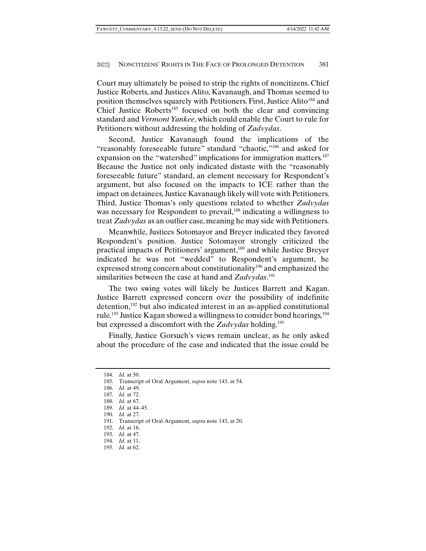Court may ultimately be poised to strip the rights of noncitizens. Chief Justice Roberts, and Justices Alito, Kavanaugh, and Thomas seemed to position themselves squarely with Petitioners. First, Justice Alito<sup>184</sup> and Chief Justice Roberts<sup>185</sup> focused on both the clear and convincing standard and *Vermont Yankee*, which could enable the Court to rule for Petitioners without addressing the holding of *Zadvydas*.

Second, Justice Kavanaugh found the implications of the "reasonably foreseeable future" standard "chaotic,"186 and asked for expansion on the "watershed" implications for immigration matters.<sup>187</sup> Because the Justice not only indicated distaste with the "reasonably foreseeable future" standard, an element necessary for Respondent's argument, but also focused on the impacts to ICE rather than the impact on detainees, Justice Kavanaugh likely will vote with Petitioners. Third, Justice Thomas's only questions related to whether *Zadvydas* was necessary for Respondent to prevail,<sup>188</sup> indicating a willingness to treat *Zadvydas* as an outlier case, meaning he may side with Petitioners.

Meanwhile, Justices Sotomayor and Breyer indicated they favored Respondent's position. Justice Sotomayor strongly criticized the practical impacts of Petitioners' argument,189 and while Justice Breyer indicated he was not "wedded" to Respondent's argument, he expressed strong concern about constitutionality<sup>190</sup> and emphasized the similarities between the case at hand and *Zadvydas*. 191

The two swing votes will likely be Justices Barrett and Kagan. Justice Barrett expressed concern over the possibility of indefinite detention,192 but also indicated interest in an as-applied constitutional rule.<sup>193</sup> Justice Kagan showed a willingness to consider bond hearings,  $194$ but expressed a discomfort with the *Zadvydas* holding.195

Finally, Justice Gorsuch's views remain unclear, as he only asked about the procedure of the case and indicated that the issue could be

 <sup>184.</sup> *Id.* at 50.

 <sup>185.</sup> Transcript of Oral Argument, *supra* note 143, at 54.

 <sup>186.</sup> *Id.* at 49.

 <sup>187.</sup> *Id.* at 72.

 <sup>188.</sup> *Id.* at 67.

 <sup>189.</sup> *Id.* at 44–45. 190. *Id.* at 27.

 <sup>191.</sup> Transcript of Oral Argument, *supra* note 143, at 20.

 <sup>192.</sup> *Id.* at 16.

 <sup>193.</sup> *Id.* at 47.

 <sup>194.</sup> *Id.* at 11.

 <sup>195.</sup> *Id.* at 62.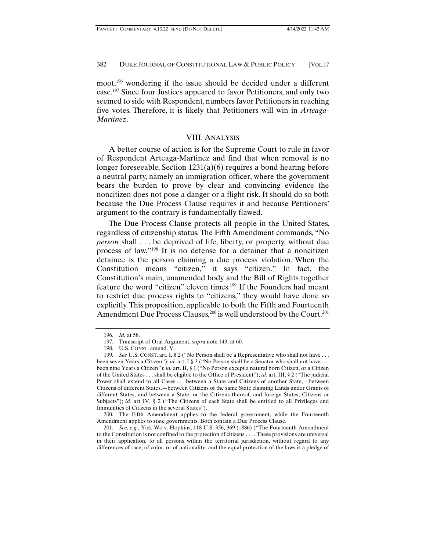moot,196 wondering if the issue should be decided under a different case.197 Since four Justices appeared to favor Petitioners, and only two seemed to side with Respondent, numbers favor Petitioners in reaching five votes. Therefore, it is likely that Petitioners will win in *Arteaga-Martinez*.

## VIII. ANALYSIS

A better course of action is for the Supreme Court to rule in favor of Respondent Arteaga-Martinez and find that when removal is no longer foreseeable, Section 1231(a)(6) requires a bond hearing before a neutral party, namely an immigration officer, where the government bears the burden to prove by clear and convincing evidence the noncitizen does not pose a danger or a flight risk. It should do so both because the Due Process Clause requires it and because Petitioners' argument to the contrary is fundamentally flawed.

The Due Process Clause protects all people in the United States, regardless of citizenship status. The Fifth Amendment commands, "No *person* shall . . . be deprived of life, liberty, or property, without due process of law."198 It is no defense for a detainer that a noncitizen detainee is the person claiming a due process violation. When the Constitution means "citizen," it says "citizen." In fact, the Constitution's main, unamended body and the Bill of Rights together feature the word "citizen" eleven times.<sup>199</sup> If the Founders had meant to restrict due process rights to "citizens," they would have done so explicitly. This proposition, applicable to both the Fifth and Fourteenth Amendment Due Process Clauses,<sup>200</sup> is well understood by the Court.<sup>201</sup>

 200. The Fifth Amendment applies to the federal government, while the Fourteenth Amendment applies to state governments. Both contain a Due Process Clause.

 201. *See, e.g.,* Yick Wo v. Hopkins, 118 U.S. 356, 369 (1886) ("The Fourteenth Amendment to the Constitution is not confined to the protection of citizens . . . . These provisions are universal in their application, to all persons within the territorial jurisdiction, without regard to any differences of race, of color, or of nationality; and the equal protection of the laws is a pledge of

 <sup>196.</sup> *Id.* at 58.

 <sup>197.</sup> Transcript of Oral Argument, *supra* note 143, at 60.

 <sup>198.</sup> U.S. CONST. amend. V.

 <sup>199.</sup> *See* U.S. CONST. art. I, § 2 ("No Person shall be a Representative who shall not have . . . been seven Years a Citizen"); *id.* art. I § 3 ("No Person shall be a Senator who shall not have ... been nine Years a Citizen"); *id.* art. II, § 1 ("No Person except a natural born Citizen, or a Citizen of the United States . . . shall be eligible to the Office of President"); *id.* art. III, § 2 ("The judicial Power shall extend to all Cases . . . between a State and Citizens of another State,—between Citizens of different States,—between Citizens of the same State claiming Lands under Grants of different States, and between a State, or the Citizens thereof, and foreign States, Citizens or Subjects"); *id.* art IV, § 2 ("The Citizens of each State shall be entitled to all Privileges and Immunities of Citizens in the several States").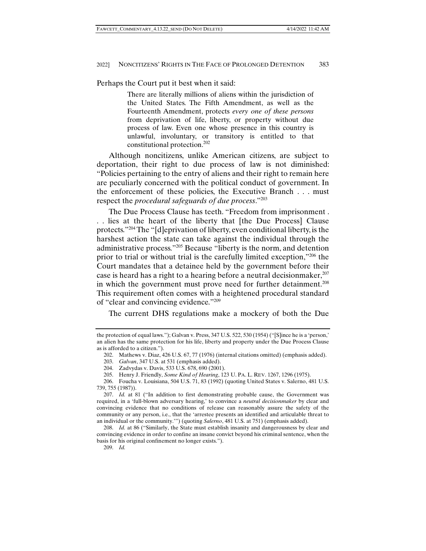Perhaps the Court put it best when it said:

There are literally millions of aliens within the jurisdiction of the United States. The Fifth Amendment, as well as the Fourteenth Amendment, protects *every one of these persons*  from deprivation of life, liberty, or property without due process of law. Even one whose presence in this country is unlawful, involuntary, or transitory is entitled to that constitutional protection.202

Although noncitizens, unlike American citizens, are subject to deportation, their right to due process of law is not diminished: "Policies pertaining to the entry of aliens and their right to remain here are peculiarly concerned with the political conduct of government. In the enforcement of these policies, the Executive Branch . . . must respect the *procedural safeguards of due process*."203

The Due Process Clause has teeth. "Freedom from imprisonment . . . lies at the heart of the liberty that [the Due Process] Clause protects."204 The "[d]eprivation of liberty, even conditional liberty, is the harshest action the state can take against the individual through the administrative process."205 Because "liberty is the norm, and detention prior to trial or without trial is the carefully limited exception,"206 the Court mandates that a detainee held by the government before their case is heard has a right to a hearing before a neutral decision maker, $207$ in which the government must prove need for further detainment.<sup>208</sup> This requirement often comes with a heightened procedural standard of "clear and convincing evidence."209

The current DHS regulations make a mockery of both the Due

the protection of equal laws."); Galvan v. Press, 347 U.S. 522, 530 (1954) ("[S]ince he is a 'person,' an alien has the same protection for his life, liberty and property under the Due Process Clause as is afforded to a citizen.").

 <sup>202.</sup> Mathews v. Diaz, 426 U.S. 67, 77 (1976) (internal citations omitted) (emphasis added).

 <sup>203.</sup> *Galvan*, 347 U.S. at 531 (emphasis added).

 <sup>204.</sup> Zadvydas v. Davis, 533 U.S. 678, 690 (2001).

 <sup>205.</sup> Henry J. Friendly, *Some Kind of Hearing*, 123 U. PA. L. REV. 1267, 1296 (1975).

 <sup>206.</sup> Foucha v. Louisiana, 504 U.S. 71, 83 (1992) (quoting United States v. Salerno, 481 U.S. 739, 755 (1987)).

 <sup>207.</sup> *Id.* at 81 ("In addition to first demonstrating probable cause, the Government was required, in a 'full-blown adversary hearing,' to convince a *neutral decisionmaker* by clear and convincing evidence that no conditions of release can reasonably assure the safety of the community or any person, i.e., that the 'arrestee presents an identified and articulable threat to an individual or the community.'") (quoting *Salerno*, 481 U.S. at 751) (emphasis added).

 <sup>208.</sup> *Id.* at 86 ("Similarly, the State must establish insanity and dangerousness by clear and convincing evidence in order to confine an insane convict beyond his criminal sentence, when the basis for his original confinement no longer exists.").

 <sup>209.</sup> *Id.*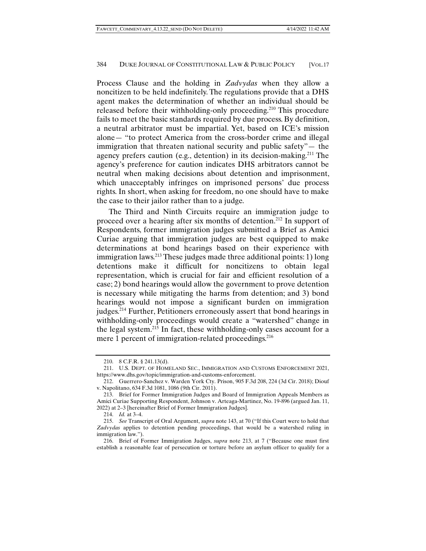Process Clause and the holding in *Zadvydas* when they allow a noncitizen to be held indefinitely. The regulations provide that a DHS agent makes the determination of whether an individual should be released before their withholding-only proceeding.<sup>210</sup> This procedure fails to meet the basic standards required by due process. By definition, a neutral arbitrator must be impartial. Yet, based on ICE's mission alone— "to protect America from the cross-border crime and illegal immigration that threaten national security and public safety"— the agency prefers caution (e.g., detention) in its decision-making.211 The agency's preference for caution indicates DHS arbitrators cannot be neutral when making decisions about detention and imprisonment, which unacceptably infringes on imprisoned persons' due process rights. In short, when asking for freedom, no one should have to make the case to their jailor rather than to a judge.

The Third and Ninth Circuits require an immigration judge to proceed over a hearing after six months of detention.212 In support of Respondents, former immigration judges submitted a Brief as Amici Curiae arguing that immigration judges are best equipped to make determinations at bond hearings based on their experience with immigration laws.<sup>213</sup> These judges made three additional points: 1) long detentions make it difficult for noncitizens to obtain legal representation, which is crucial for fair and efficient resolution of a case; 2) bond hearings would allow the government to prove detention is necessary while mitigating the harms from detention; and 3) bond hearings would not impose a significant burden on immigration judges.214 Further, Petitioners erroneously assert that bond hearings in withholding-only proceedings would create a "watershed" change in the legal system.215 In fact, these withholding-only cases account for a mere 1 percent of immigration-related proceedings.<sup>216</sup>

 <sup>210. 8</sup> C.F.R. § 241.13(d).

 <sup>211.</sup> U.S. DEPT. OF HOMELAND SEC., IMMIGRATION AND CUSTOMS ENFORCEMENT 2021, https://www.dhs.gov/topic/immigration-and-customs-enforcement.

 <sup>212.</sup> Guerrero-Sanchez v. Warden York Cty. Prison, 905 F.3d 208, 224 (3d Cir. 2018); Diouf v. Napolitano, 634 F.3d 1081, 1086 (9th Cir. 2011).

 <sup>213.</sup> Brief for Former Immigration Judges and Board of Immigration Appeals Members as Amici Curiae Supporting Respondent, Johnson v. Arteaga-Martinez, No. 19-896 (argued Jan. 11, 2022) at 2–3 [hereinafter Brief of Former Immigration Judges].

 <sup>214.</sup> *Id.* at 3–4.

 <sup>215.</sup> *See* Transcript of Oral Argument, *supra* note 143, at 70 ("If this Court were to hold that *Zadvydas* applies to detention pending proceedings, that would be a watershed ruling in immigration law.").

 <sup>216.</sup> Brief of Former Immigration Judges, *supra* note 213, at 7 ("Because one must first establish a reasonable fear of persecution or torture before an asylum officer to qualify for a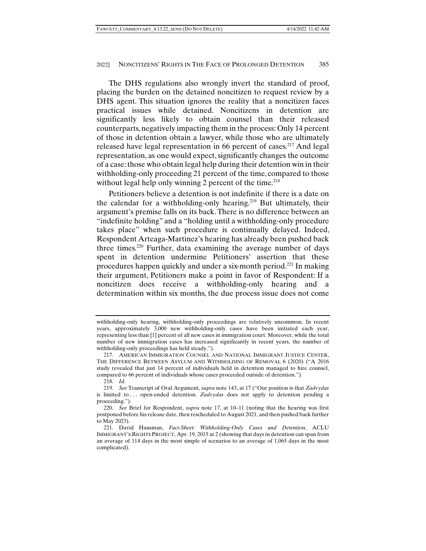The DHS regulations also wrongly invert the standard of proof, placing the burden on the detained noncitizen to request review by a DHS agent. This situation ignores the reality that a noncitizen faces practical issues while detained. Noncitizens in detention are significantly less likely to obtain counsel than their released counterparts, negatively impacting them in the process: Only 14 percent of those in detention obtain a lawyer, while those who are ultimately released have legal representation in 66 percent of cases.217 And legal representation, as one would expect, significantly changes the outcome of a case: those who obtain legal help during their detention win in their withholding-only proceeding 21 percent of the time, compared to those without legal help only winning 2 percent of the time.<sup>218</sup>

Petitioners believe a detention is not indefinite if there is a date on the calendar for a withholding-only hearing.<sup>219</sup> But ultimately, their argument's premise falls on its back. There is no difference between an "indefinite holding" and a "holding until a withholding-only procedure takes place" when such procedure is continually delayed. Indeed, Respondent Arteaga-Martinez's hearing has already been pushed back three times.220 Further, data examining the average number of days spent in detention undermine Petitioners' assertion that these procedures happen quickly and under a six-month period.<sup>221</sup> In making their argument, Petitioners make a point in favor of Respondent: If a noncitizen does receive a withholding-only hearing and a determination within six months, the due process issue does not come

withholding-only hearing, withholding-only proceedings are relatively uncommon. In recent years, approximately 3,000 new withholding-only cases have been initiated each year, representing less than [1] percent of all new cases in immigration court. Moreover, while the total number of new immigration cases has increased significantly in recent years, the number of withholding-only proceedings has held steady.").

 <sup>217.</sup> AMERICAN IMMIGRATION COUNSEL AND NATIONAL IMMIGRANT JUSTICE CENTER, THE DIFFERENCE BETWEEN ASYLUM AND WITHHOLDING OF REMOVAL 6 (2020) ("A 2016 study revealed that just 14 percent of individuals held in detention managed to hire counsel, compared to 66 percent of individuals whose cases proceeded outside of detention.").

 <sup>218.</sup> *Id.*

 <sup>219.</sup> *See* Transcript of Oral Argument, *supra* note 143, at 17 ("Our position is that *Zadvydas* is limited to . . . open-ended detention. *Zadvydas* does not apply to detention pending a proceeding.").

 <sup>220.</sup> *See* Brief for Respondent, *supra* note 17, at 10–11 (noting that the hearing was first postponed before his release date, then rescheduled to August 2021, and then pushed back further to May 2023).

 <sup>221.</sup> David Hausman, *Fact-Sheet: Withholding-Only Cases and Detention*, ACLU IMMIGRANT'S RIGHTS PROJECT, Apr. 19, 2015 at 2 (showing that days in detention can span from an average of 114 days in the most simple of scenarios to an average of 1,065 days in the most complicated).